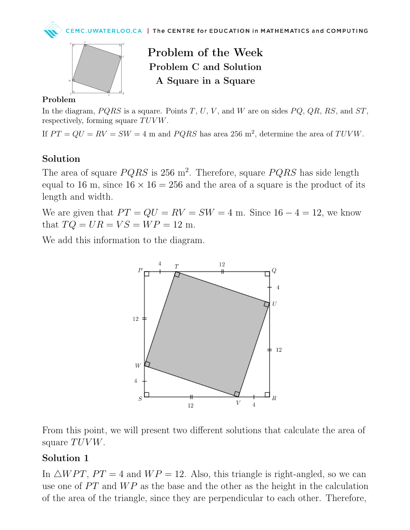



Problem of the Week Problem C and Solution A Square in a Square

#### Problem

In the diagram,  $PQRS$  is a square. Points T, U, V, and W are on sides  $PQ$ ,  $QR$ , RS, and ST, respectively, forming square  $TUVW$ .

If  $PT = QU = RV = SW = 4$  m and  $PQRS$  has area 256 m<sup>2</sup>, determine the area of  $TUVW$ .

### Solution

The area of square  $PQRS$  is 256 m<sup>2</sup>. Therefore, square  $PQRS$  has side length equal to 16 m, since  $16 \times 16 = 256$  and the area of a square is the product of its length and width.

We are given that  $PT = QU = RV = SW = 4$  m. Since  $16 - 4 = 12$ , we know that  $TO = UR = VS = WP = 12$  m.

We add this information to the diagram.



From this point, we will present two different solutions that calculate the area of square  $TUVW$ .

### Solution 1

In  $\triangle WPT$ ,  $PT = 4$  and  $WP = 12$ . Also, this triangle is right-angled, so we can use one of  $PT$  and  $WP$  as the base and the other as the height in the calculation of the area of the triangle, since they are perpendicular to each other. Therefore,